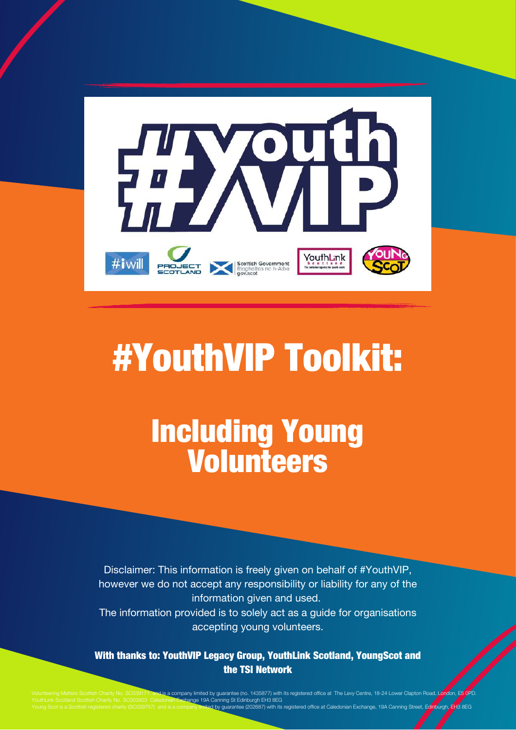

# #YouthVIP Toolkit:

## Including Young Volunteers

Disclaimer: This information is freely given on behalf of #YouthVIP, however we do not accept any responsibility or liability for any of the information given and used. The information provided is to solely act as a guide for organisations accepting young volunteers.

With thanks to: YouthVIP Legacy Group, YouthLink Scotland, YoungScot and the TSI Network

s a company limited by guarantee (no. 1435877) with its registered office at The Levy Centre, 18-24 Low change 19A Canning St Edinburgh EH3 8EG ing St Edinburgh En to SEG<br>guarantee (202687) with its registered office at Caledonian Exchange, 19A Canning Street, Edinburgh, EH3 8EG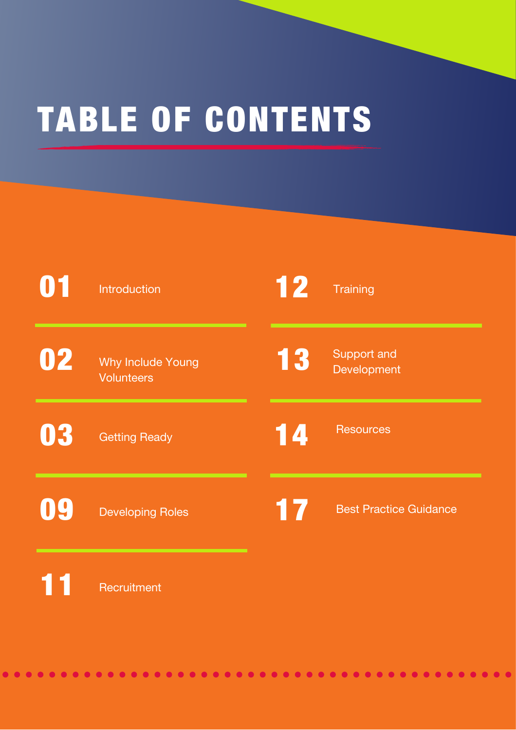# TABLE OF CONTENTS

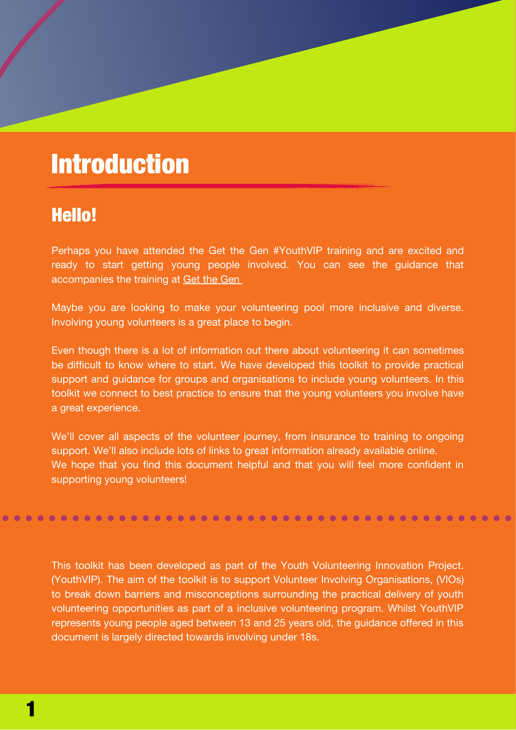## **Introduction**

## Hello!

Perhaps you have attended the Get the Gen #YouthVIP training and are excited and ready to start getting young people involved. You can see the guidance that accompanies the training at Get the [Gen](https://www.gov.scot/publications/youth-volunteering-guidelines/documents)

Maybe you are looking to make your volunteering pool more inclusive and diverse. Involving young volunteers is a great place to begin.

Even though there is a lot of information out there about volunteering it can sometimes be difficult to know where to start. We have developed this toolkit to provide practical support and guidance for groups and organisations to include young volunteers. In this toolkit we connect to best practice to ensure that the young volunteers you involve have a great experience.

We'll cover all aspects of the volunteer journey, from insurance to training to ongoing support. We'll also include lots of links to great information already available online. We hope that you find this document helpful and that you will feel more confident in supporting young volunteers!

This toolkit has been developed as part of the Youth Volunteering Innovation Project. (YouthVIP). The aim of the toolkit is to support Volunteer Involving Organisations, (VIOs) to break down barriers and misconceptions surrounding the practical delivery of youth volunteering opportunities as part of a inclusive volunteering program. Whilst YouthVIP represents young people aged between 13 and 25 years old, the guidance offered in this document is largely directed towards involving under 18s.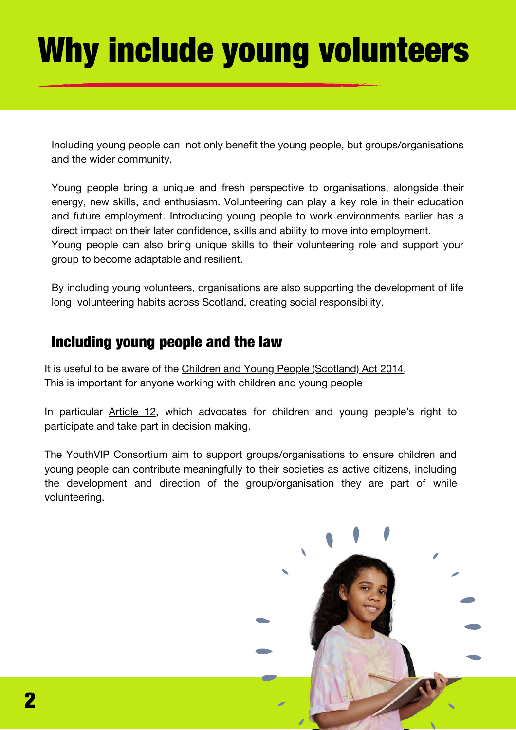# Why include young volunteers

Including young people can not only benefit the young people, but groups/organisations and the wider community.

Young people bring a unique and fresh perspective to organisations, alongside their energy, new skills, and enthusiasm. Volunteering can play a key role in their education and future employment. Introducing young people to work environments earlier has a direct impact on their later confidence, skills and ability to move into employment. Young people can also bring unique skills to their volunteering role and support your group to become adaptable and resilient.

By including young volunteers, organisations are also supporting the development of life long volunteering habits across Scotland, creating social responsibility.

## Including young people and the law

It is useful to be aware of the Children and Young People [\(Scotland\)](https://www.legislation.gov.uk/asp/2014/8/contents/enacted) Act 201[4,](https://www.legislation.gov.uk/asp/2014/8/contents/enacted) This is important for anyone working with children and young people

In particular **[Article](https://www.togetherscotland.org.uk/about-childrens-rights/monitoring-the-uncrc/involving-children-and-young-people/) 12**, which advocates for children and young people's right to participate and take part in decision making.

The YouthVIP Consortium aim to support groups/organisations to ensure children and young people can contribute meaningfully to their societies as active citizens, including the development and direction of the group/organisation they are part of while volunteering.

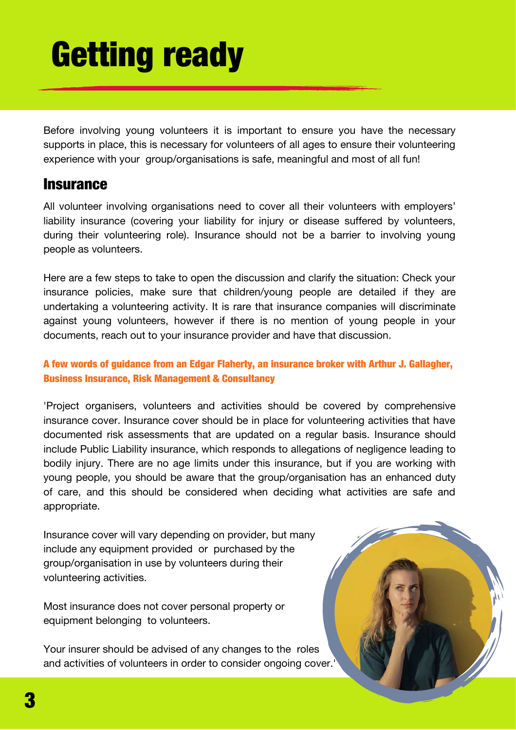# Getting ready

Before involving young volunteers it is important to ensure you have the necessary supports in place, this is necessary for volunteers of all ages to ensure their volunteering experience with your group/organisations is safe, meaningful and most of all fun!

### **Insurance**

All volunteer involving organisations need to cover all their volunteers with employers' liability insurance (covering your liability for injury or disease suffered by volunteers, during their volunteering role). Insurance should not be a barrier to involving young people as volunteers.

Here are a few steps to take to open the discussion and clarify the situation: Check your insurance policies, make sure that children/young people are detailed if they are undertaking a volunteering activity. It is rare that insurance companies will discriminate against young volunteers, however if there is no mention of young people in your documents, reach out to your insurance provider and have that discussion.

### A few words of guidance from an Edgar Flaherty, an insurance broker with Arthur J. Gallagher, Business Insurance, Risk Management & Consultancy

'Project organisers, volunteers and activities should be covered by comprehensive insurance cover. Insurance cover should be in place for volunteering activities that have documented risk assessments that are updated on a regular basis. Insurance should include Public Liability insurance, which responds to allegations of negligence leading to bodily injury. There are no age limits under this insurance, but if you are working with young people, you should be aware that the group/organisation has an enhanced duty of care, and this should be considered when deciding what activities are safe and appropriate.

Insurance cover will vary depending on provider, but many include any equipment provided or purchased by the group/organisation in use by volunteers during their volunteering activities.

Most insurance does not cover personal property or equipment belonging to volunteers.

Your insurer should be advised of any changes to the roles and activities of volunteers in order to consider ongoing cover.'

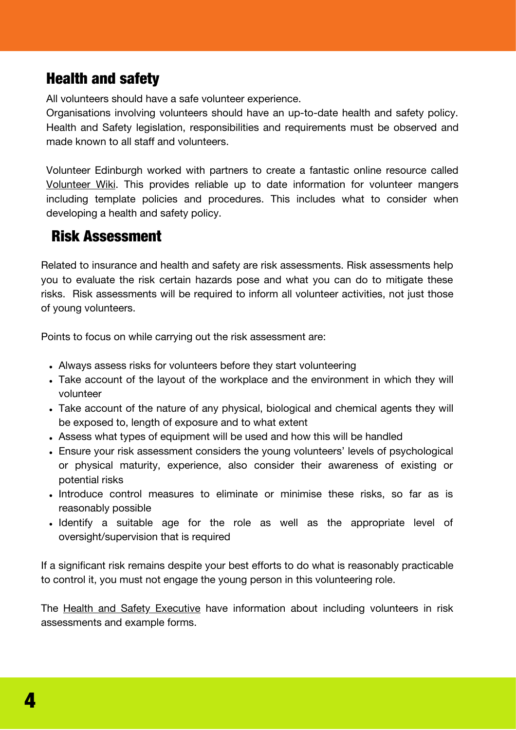## Health and safety

All volunteers should have a safe volunteer experience.

Organisations involving volunteers should have an up-to-date health and safety policy. Health and Safety legislation, responsibilities and requirements must be observed and made known to all staff and volunteers.

Volunteer Edinburgh worked with partners to create a fantastic online resource called [Volunteer](https://volunteerwiki.org.uk/wiki/Welcome_to_VolunteerWiki!) Wiki. This provides reliable up to date information for volunteer mangers including template policies and procedures. This includes what to consider when developing a health and safety policy.

## Risk Assessment

Related to insurance and health and safety are risk assessments. Risk assessments help you to evaluate the risk certain hazards pose and what you can do to mitigate these risks. Risk assessments will be required to inform all volunteer activities, not just those of young volunteers.

Points to focus on while carrying out the risk assessment are:

- Always assess risks for volunteers before they start volunteering
- Take account of the layout of the workplace and the environment in which they will volunteer
- Take account of the nature of any physical, biological and chemical agents they will be exposed to, length of exposure and to what extent
- Assess what types of equipment will be used and how this will be handled
- Ensure your risk assessment considers the young volunteers' levels of psychological or physical maturity, experience, also consider their awareness of existing or potential risks
- Introduce control measures to eliminate or minimise these risks, so far as is reasonably possible
- Identify a suitable age for the role as well as the appropriate level of oversight/supervision that is required

If a significant risk remains despite your best efforts to do what is reasonably practicable to control it, you must not engage the young person in this volunteering role.

The Health and Safety [Executive](https://www.hse.gov.uk/voluntary/employer/risk-assessment.htm) have information about including volunteers in risk assessments and example forms.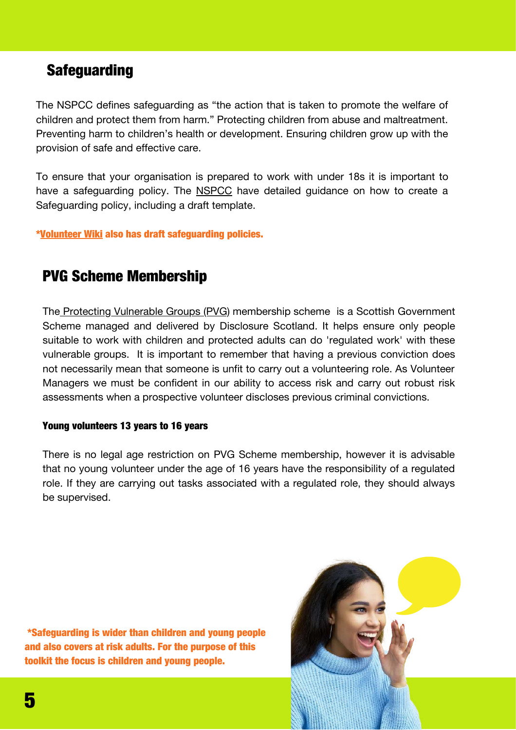## **Safeguarding**

The NSPCC defines safeguarding as "the action that is taken to promote the welfare of children and protect them from harm." Protecting children from abuse and maltreatment. Preventing harm to children's health or development. Ensuring children grow up with the provision of safe and effective care.

To ensure that your organisation is prepared to work with under 18s it is important to have a safeguarding policy. The NSPCC have detailed guidance on how to create a Safeguarding policy, including a draft template.

[\\*Volunteer](https://volunteerwiki.org.uk/wiki/Welcome_to_VolunteerWiki!) Wiki also has draft safeguarding policies.

## PVG Scheme Membership

The Protecting [Vulnerable](https://www.mygov.scot/pvg-scheme) Groups (PVG) membership scheme is a Scottish Government Scheme managed and delivered by Disclosure Scotland. It helps ensure only people suitable to work with children and protected adults can do 'regulated work' with these vulnerable groups. It is important to remember that having a previous conviction does not necessarily mean that someone is unfit to carry out a volunteering role. As Volunteer Managers we must be confident in our ability to access risk and carry out robust risk assessments when a prospective volunteer discloses previous criminal convictions.

### Young volunteers 13 years to 16 years

There is no legal age restriction on PVG Scheme membership, however it is advisable that no young volunteer under the age of 16 years have the responsibility of a regulated role. If they are carrying out tasks associated with a regulated role, they should always be supervised.

\*Safeguarding is wider than children and young people and also covers at risk adults. For the purpose of this toolkit the focus is children and young people.

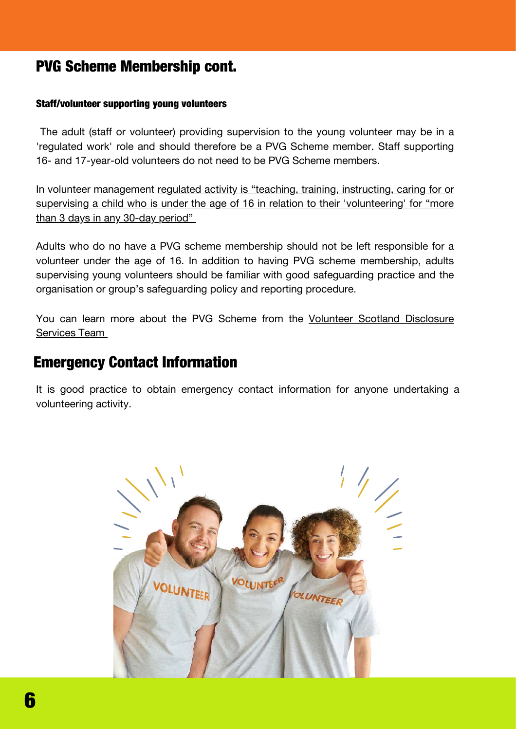## PVG Scheme Membership cont.

### Staff/volunteer supporting young volunteers

The adult (staff or volunteer) providing supervision to the young volunteer may be in a 'regulated work' role and should therefore be a PVG Scheme member. Staff supporting 16- and 17-year-old volunteers do not need to be PVG Scheme members.

In volunteer management regulated activity is "teaching, training, instructing, caring for or supervising a child who is under the age of 16 in relation to their ['volunteering'](https://www.mygov.scot/pvg-scheme) for "more than 3 days in any 30-day period"

Adults who do no have a PVG scheme membership should not be left responsible for a volunteer under the age of 16. In addition to having PVG scheme membership, adults supervising young volunteers should be familiar with good safeguarding practice and the organisation or group's safeguarding policy and reporting procedure.

You can learn more about the PVG Scheme from the Volunteer Scotland [Disclosure](https://www.volunteerscotland.net/for-organisations/disclosure-services/) Services Tea[m](https://www.volunteerscotland.net/for-organisations/disclosure-services/)

### Emergency Contact Information

It is good practice to obtain emergency contact information for anyone undertaking a volunteering activity.

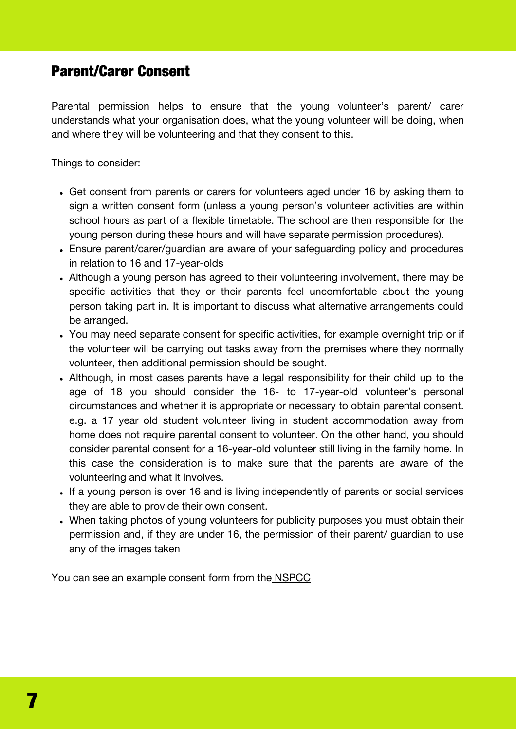## Parent/Carer Consent

Parental permission helps to ensure that the young volunteer's parent/ carer understands what your organisation does, what the young volunteer will be doing, when and where they will be volunteering and that they consent to this.

Things to consider:

- Get consent from parents or carers for volunteers aged under 16 by asking them to sign a written consent form (unless a young person's volunteer activities are within school hours as part of a flexible timetable. The school are then responsible for the young person during these hours and will have separate permission procedures).
- Ensure parent/carer/guardian are aware of your safeguarding policy and procedures in relation to 16 and 17-year-olds
- Although a young person has agreed to their volunteering involvement, there may be specific activities that they or their parents feel uncomfortable about the young person taking part in. It is important to discuss what alternative arrangements could be arranged.
- You may need separate consent for specific activities, for example overnight trip or if the volunteer will be carrying out tasks away from the premises where they normally volunteer, then additional permission should be sought.
- Although, in most cases parents have a legal responsibility for their child up to the age of 18 you should consider the 16- to 17-year-old volunteer's personal circumstances and whether it is appropriate or necessary to obtain parental consent. e.g. a 17 year old student volunteer living in student accommodation away from home does not require parental consent to volunteer. On the other hand, you should consider parental consent for a 16-year-old volunteer still living in the family home. In this case the consideration is to make sure that the parents are aware of the volunteering and what it involves.
- If a young person is over 16 and is living independently of parents or social services they are able to provide their own consent.
- When taking photos of young volunteers for publicity purposes you must obtain their permission and, if they are under 16, the permission of their parent/ guardian to use any of the images taken

You can see an example consent form from the [NSPCC](https://learning.nspcc.org.uk/research-resources/templates/example-consent-form)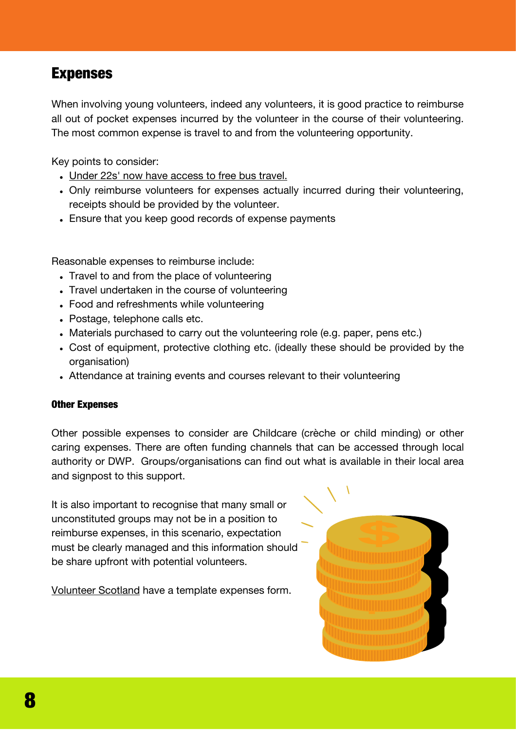### Expenses

When involving young volunteers, indeed any volunteers, it is good practice to reimburse all out of pocket expenses incurred by the volunteer in the course of their volunteering. The most common expense is travel to and from the volunteering opportunity.

Key points to consider:

- Under 22s' now have access to free [bus travel.](https://www.transport.gov.scot/concessionary-travel/young-persons-free-bus-travel-scheme/)
- Only reimburse volunteers for expenses actually incurred during their volunteering, receipts should be provided by the volunteer.
- Ensure that you keep good records of expense payments

Reasonable expenses to reimburse include:

- Travel to and from the place of volunteering
- Travel undertaken in the course of volunteering
- Food and refreshments while volunteering
- Postage, telephone calls etc.
- Materials purchased to carry out the volunteering role (e.g. paper, pens etc.)
- Cost of equipment, protective clothing etc. (ideally these should be provided by the organisation)
- Attendance at training events and courses relevant to their volunteering

### Other Expenses

Other possible expenses to consider are Childcare (crèche or child minding) or other caring expenses. There are often funding channels that can be accessed through local authority or DWP. Groups/organisations can find out what is available in their local area and signpost to this support.

It is also important to recognise that many small or unconstituted groups may not be in a position to reimburse expenses, in this scenario, expectation must be clearly managed and this information should be share upfront with potential volunteers.

[Vo](https://www.volunteerscotland.net/media/237398/Volunteer%20Expenses%20Form%20Template.docx)lunteer [Scotland](https://www.volunteerscotland.net/media/237398/Volunteer%20Expenses%20Form%20Template.docx) have a template expenses form.

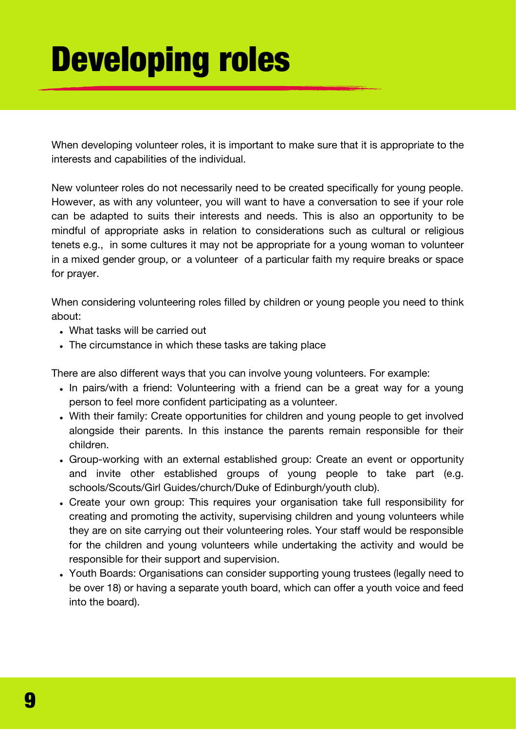# Developing roles

When developing volunteer roles, it is important to make sure that it is appropriate to the interests and capabilities of the individual.

New volunteer roles do not necessarily need to be created specifically for young people. However, as with any volunteer, you will want to have a conversation to see if your role can be adapted to suits their interests and needs. This is also an opportunity to be mindful of appropriate asks in relation to considerations such as cultural or religious tenets e.g., in some cultures it may not be appropriate for a young woman to volunteer in a mixed gender group, or a volunteer of a particular faith my require breaks or space for prayer.

When considering volunteering roles filled by children or young people you need to think about:

- What tasks will be carried out
- The circumstance in which these tasks are taking place

There are also different ways that you can involve young volunteers. For example:

- In pairs/with a friend: Volunteering with a friend can be a great way for a young person to feel more confident participating as a volunteer.
- With their family: Create opportunities for children and young people to get involved alongside their parents. In this instance the parents remain responsible for their children.
- Group-working with an external established group: Create an event or opportunity and invite other established groups of young people to take part (e.g. schools[/Scouts/](https://www.scouts.org.uk/)Girl [Guides/](https://www.girlguiding.org.uk/)church/Duke of [Edinburgh](https://www.dofe.org/)/youth club).
- Create your own group: This requires your organisation take full responsibility for creating and promoting the activity, supervising children and young volunteers while they are on site carrying out their volunteering roles. Your staff would be responsible for the children and young volunteers while undertaking the activity and would be responsible for their support and supervision.
- Youth Boards: Organisations can consider supporting young trustees (legally need to be over 18) or having a separate youth board, which can offer a youth voice and feed into the board).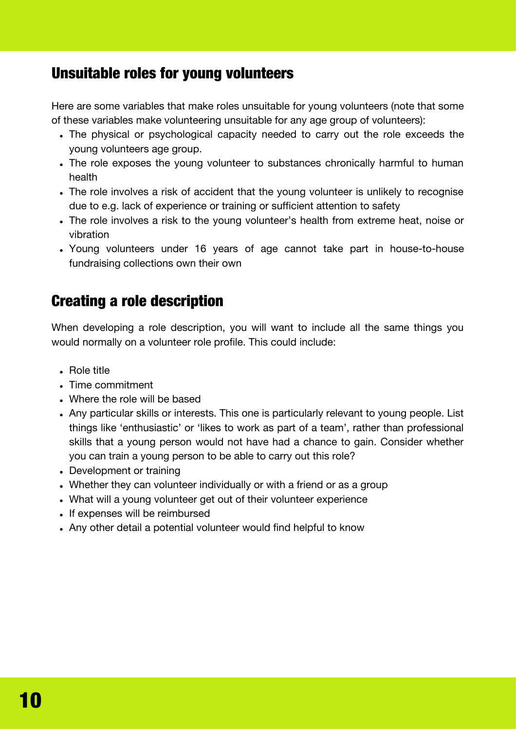## Unsuitable roles for young volunteers

Here are some variables that make roles unsuitable for young volunteers (note that some of these variables make volunteering unsuitable for any age group of volunteers):

- The physical or psychological capacity needed to carry out the role exceeds the young volunteers age group.
- The role exposes the young volunteer to substances chronically harmful to human health
- The role involves a risk of accident that the young volunteer is unlikely to recognise due to e.g. lack of experience or training or sufficient attention to safety
- The role involves a risk to the young volunteer's health from extreme heat, noise or vibration
- Young volunteers under 16 years of age cannot take part in house-to-house fundraising collections own their own

## Creating a role description

When developing a role description, you will want to include all the same things you would normally on a volunteer role profile. This could include:

- Role title
- Time commitment
- Where the role will be based
- Any particular skills or interests. This one is particularly relevant to young people. List things like 'enthusiastic' or 'likes to work as part of a team', rather than professional skills that a young person would not have had a chance to gain. Consider whether you can train a young person to be able to carry out this role?
- Development or training
- Whether they can volunteer individually or with a friend or as a group
- What will a young volunteer get out of their volunteer experience
- If expenses will be reimbursed
- Any other detail a potential volunteer would find helpful to know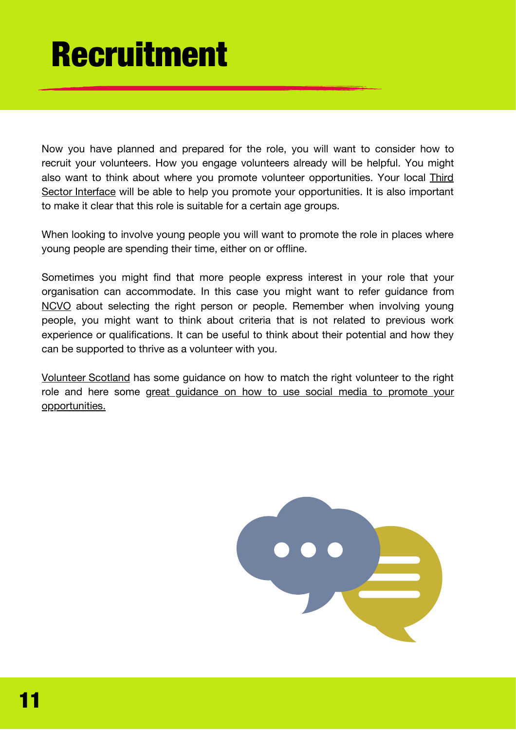## Recruitment

Now you have planned and prepared for the role, you will want to consider how to recruit your volunteers. How you engage volunteers already will be helpful. You might also want to think about where you promote volunteer [opportunities.](https://tsi.scot/) Your [local](https://tsi.scot/) [Th](https://tsi.scot/)ird Sector Interface will be able to help you promote your opportunities. It is also important to make it clear that this role is suitable for a certain age groups.

When looking to involve young people you will want to promote the role in places where young people are spending their time, either on or offline.

Sometimes you might find that more people express interest in your role that your organisation can accommodate. In this case you might want to refer guidance from [NCVO](https://knowhow.ncvo.org.uk/safeguarding/checklists-training-and-other-support/specialist-guides/safeguarding-for-volunteer-managers/safer-recruitment-of-volunteers/choosing-the-right-volunteers) about selecting the right person or people. Remember when involving young people, you might want to think about criteria that is not related to previous work experience or qualifications. It can be useful to think about their potential and how they can be supported to thrive as a volunteer with you.

[Volunteer](https://www.volunteerscotland.net/media/242045/matching-the-right-volunteers-to-the-right-role.pdf) Scotland has some guidance on how to match the right volunteer to the right role and here some great guidance on how to use social media to promote your [opportunities.](https://volunteerwiki.org.uk/wiki/Social_Media_and_Recruitment)

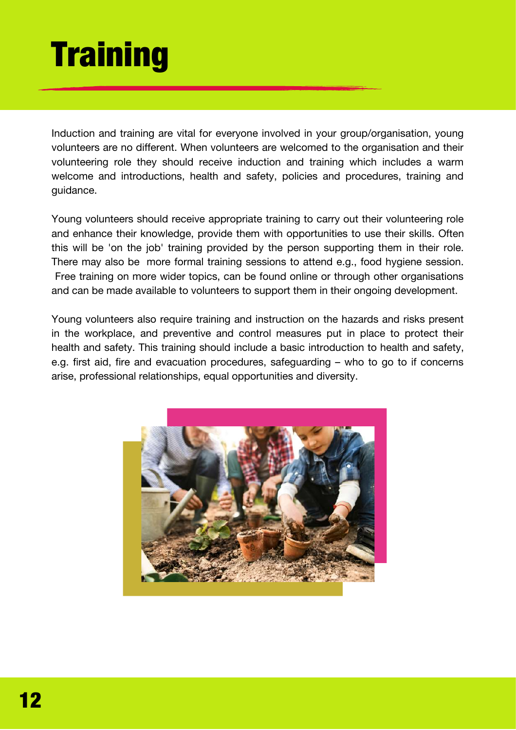# **Training**

Induction and training are vital for everyone involved in your group/organisation, young volunteers are no different. When volunteers are welcomed to the organisation and their volunteering role they should receive induction and training which includes a warm welcome and introductions, health and safety, policies and procedures, training and guidance.

Young volunteers should receive appropriate training to carry out their volunteering role and enhance their knowledge, provide them with opportunities to use their skills. Often this will be 'on the job' training provided by the person supporting them in their role. There may also be more formal training sessions to attend e.g., food hygiene session. Free training on more wider topics, can be found online or through other organisations and can be made available to volunteers to support them in their ongoing development.

Young volunteers also require training and instruction on the hazards and risks present in the workplace, and preventive and control measures put in place to protect their health and safety. This training should include a basic introduction to health and safety, e.g. first aid, fire and evacuation procedures, safeguarding – who to go to if concerns arise, professional relationships, equal opportunities and diversity.

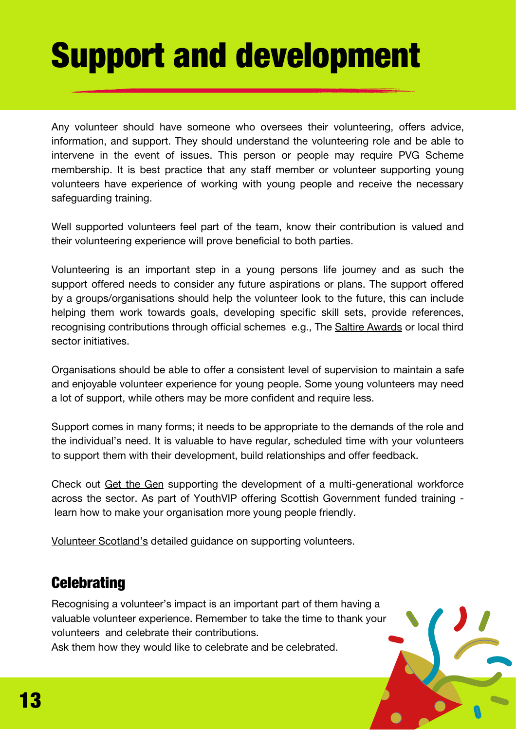# Support and development

Any volunteer should have someone who oversees their volunteering, offers advice, information, and support. They should understand the volunteering role and be able to intervene in the event of issues. This person or people may require PVG Scheme membership. It is best practice that any staff member or volunteer supporting young volunteers have experience of working with young people and receive the necessary safeguarding training.

Well supported volunteers feel part of the team, know their contribution is valued and their volunteering experience will prove beneficial to both parties.

Volunteering is an important step in a young persons life journey and as such the support offered needs to consider any future aspirations or plans. The support offered by a groups/organisations should help the volunteer look to the future, this can include helping them work towards goals, developing specific skill sets, provide references, recognising contributions through official schemes e.g., The Saltire [Awards](https://saltireawards.scot/) or local third sector initiatives.

Organisations should be able to offer a consistent level of supervision to maintain a safe and enjoyable volunteer experience for young people. Some young volunteers may need a lot of support, while others may be more confident and require less.

Support comes in many forms; it needs to be appropriate to the demands of the role and the individual's need. It is valuable to have regular, scheduled time with your volunteers to support them with their development, build relationships and offer feedback.

Check out Get the [Gen](http://getthegen.com/VIP/) supporting the development of a multi-generational workforce across the sector. As part of YouthVIP offering Scottish Government funded training learn how to make your organisation more young people friendly.

Volunteer [Scotland's](https://www.volunteerscotland.net/for-organisations/guidance/making-a-difference/making-a-difference-guidance-and-templates/) detailed guidance on supporting volunteers.

## **Celebrating**

Recognising a volunteer's impact is an important part of them having a valuable volunteer experience. Remember to take the time to thank your volunteers and celebrate their contributions.

Ask them how they would like to celebrate and be celebrated.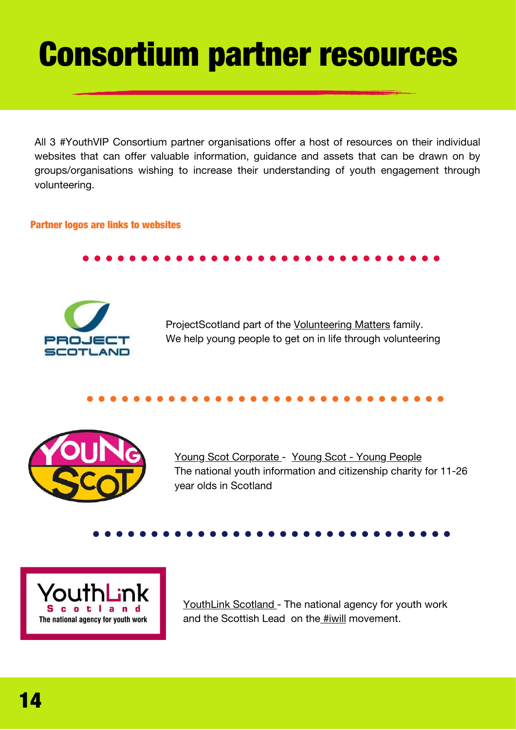## Consortium partner resources

All 3 #YouthVIP Consortium partner organisations offer a host of resources on their individual websites that can offer valuable information, guidance and assets that can be drawn on by groups/organisations wishing to increase their understanding of youth engagement through volunteering.

### Partner logos are links to websites



ProjectScotland part of the [Volunteering](https://volunteeringmatters.org.uk/category/scotland/) Matters family. We help young people to get on in life through volunteering



Young Scot [Corporate](https://youngscot.net/) [-](https://youngscot.net/) Young Scot - Young [People](https://young.scot/) The national youth [information](https://youngscot.net/) and citizenship charity for 11-26 year olds in Scotland



YouthLink [Scotland](https://www.youthlinkscotland.org/) - The national agency for youth work and the Scottish Lead on the [#iwill](https://www.youthlinkscotland.org/programmes/iwill-scotland/) movement.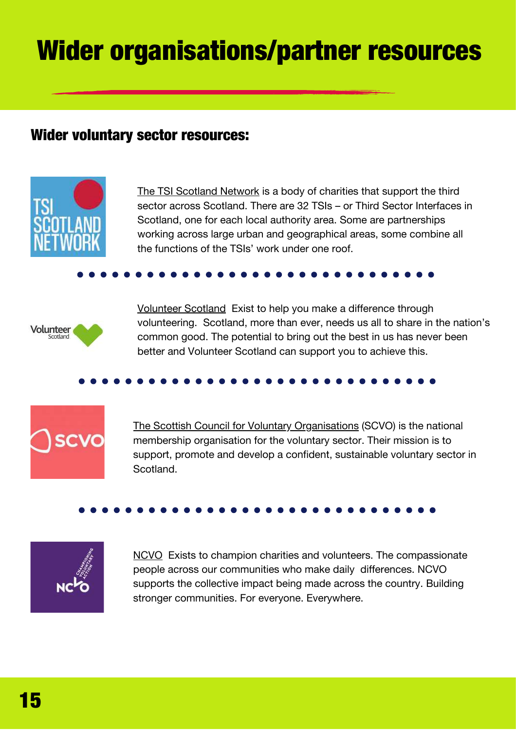## Wider organisations/partner resources

### Wider voluntary sector resources:



The TSI [Scotland](https://tsi.scot/) Network is a body of charities that support the third sector across Scotland. There are 32 TSIs – or Third Sector Interfaces in Scotland, one for each local authority area. Some are partnerships working across large urban and geographical areas, some combine all the functions of the TSIs' work under one roof.



[Volunteer](https://www.volunteerscotland.net/) Scotland Exist to help you make a difference through volunteering. Scotland, more than ever, needs us all to share in the nation's common good. The potential to bring out the best in us has never been better and Volunteer Scotland can support you to achieve this.



The Scottish Council for Voluntary [Organisations](https://scvo.scot/) (SCVO) is the national membership organisation for the voluntary sector. Their mission is to support, promote and develop a confident, sustainable voluntary sector in Scotland.



[NCVO](https://www.ncvo.org.uk/) Exists to champion charities and volunteers. The compassionate people across our communities who make daily differences. NCVO supports the collective impact being made across the country. Building stronger communities. For everyone. Everywhere.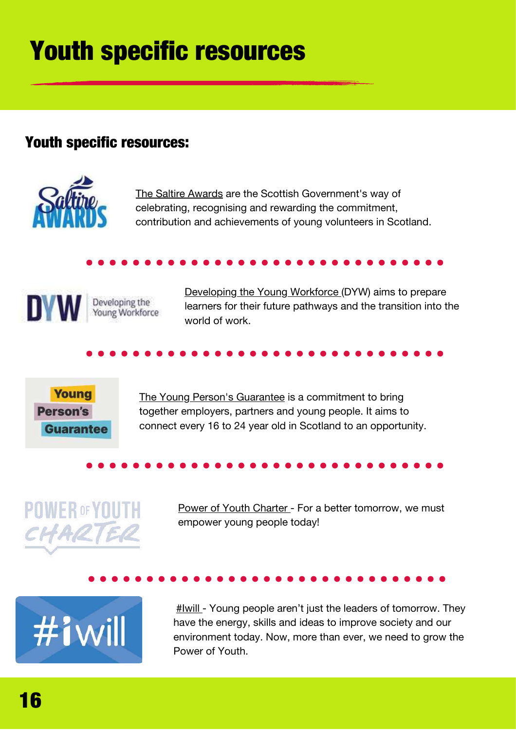## Youth specific resources

## Youth specific resources:



The Saltire [Awards](https://saltireawards.scot/) are the Scottish Government's way of celebrating, recognising and rewarding the commitment, contribution and achievements of young volunteers in Scotland.



[Developing](https://www.dyw.scot/) the Young Workforce (DYW) aims to prepare learners for their future pathways and the transition into the world of work.



The Young Person's [Guarantee](https://youngpersonsguarantee.scot/) is a commitment to bring together employers, partners and young people. It aims to connect every 16 to 24 year old in Scotland to an opportunity.

## **POWER OF YOUTH** CHARTER

Power of Youth [Charter](https://www.youthlinkscotland.org/programmes/iwill-scotland/get-involved/iwill-scotland-powerofyouth-charter/) - For a better tomorrow, we must empower young people today!

# $#i$ will

[#Iwill](https://www.youthlinkscotland.org/programmes/iwill-scotland/) - Young people aren't just the leaders of tomorrow. They have the energy, skills and ideas to improve society and our environment today. Now, more than ever, we need to grow the Power of Youth.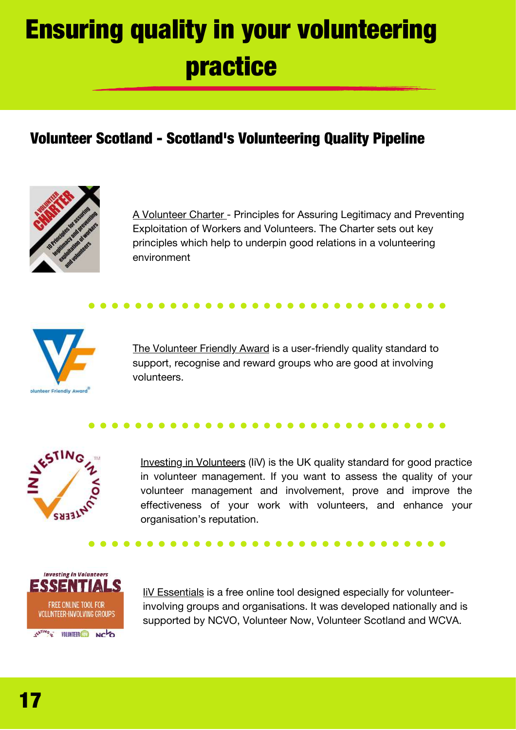## Ensuring quality in your volunteering practice

## Volunteer Scotland - Scotland's Volunteering Quality Pipeline



A [Volunteer](https://www.volunteerscotland.net/search/?keyword=volunteer%20charter) Charter - Principles for Assuring Legitimacy and Preventing Exploitation of Workers and Volunteers. The Charter sets out key principles which help to underpin good relations in a volunteering environment



The [Volunteer](https://volunteerfriendly.co.uk/) Friendly Award is a user-friendly quality standard to support, recognise and reward groups who are good at involving volunteers.



Investing in [Volunteers](https://investinginvolunteers.co.uk/) (IiV) is the UK quality standard for good practice in volunteer management. If you want to assess the quality of your volunteer management and involvement, prove and improve the effectiveness of your work with volunteers, and enhance your organisation's reputation.



IiV [Essentials](https://knowhow.ncvo.org.uk/tools-resources/investing-in-volunteers-iiv-essentials) is a free online tool designed especially for volunteerinvolving groups and organisations. It was developed nationally and is supported by NCVO, Volunteer Now, Volunteer Scotland and WCVA.